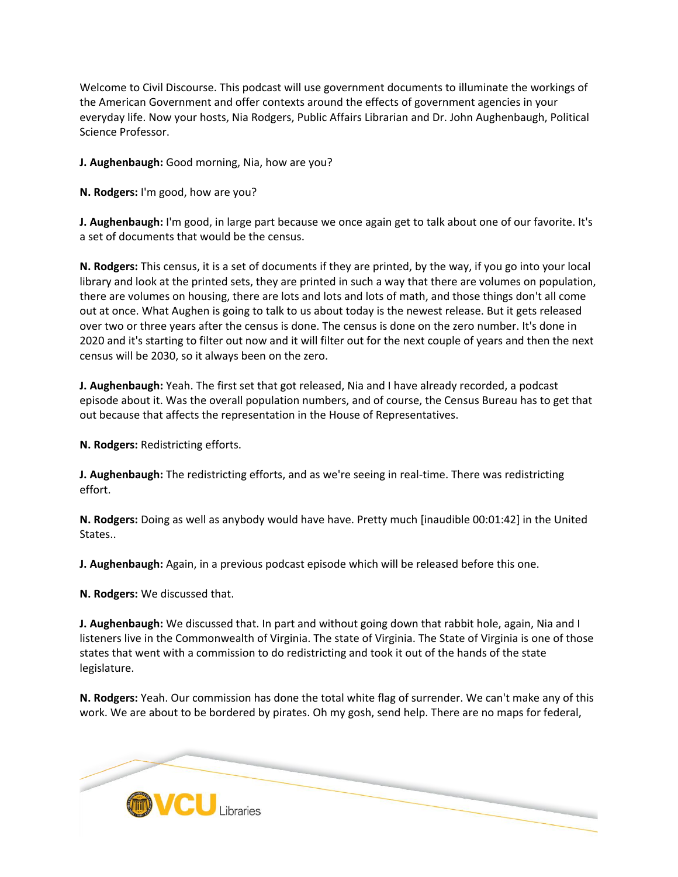Welcome to Civil Discourse. This podcast will use government documents to illuminate the workings of the American Government and offer contexts around the effects of government agencies in your everyday life. Now your hosts, Nia Rodgers, Public Affairs Librarian and Dr. John Aughenbaugh, Political Science Professor.

**J. Aughenbaugh:** Good morning, Nia, how are you?

**N. Rodgers:** I'm good, how are you?

**J. Aughenbaugh:** I'm good, in large part because we once again get to talk about one of our favorite. It's a set of documents that would be the census.

**N. Rodgers:** This census, it is a set of documents if they are printed, by the way, if you go into your local library and look at the printed sets, they are printed in such a way that there are volumes on population, there are volumes on housing, there are lots and lots and lots of math, and those things don't all come out at once. What Aughen is going to talk to us about today is the newest release. But it gets released over two or three years after the census is done. The census is done on the zero number. It's done in 2020 and it's starting to filter out now and it will filter out for the next couple of years and then the next census will be 2030, so it always been on the zero.

**J. Aughenbaugh:** Yeah. The first set that got released, Nia and I have already recorded, a podcast episode about it. Was the overall population numbers, and of course, the Census Bureau has to get that out because that affects the representation in the House of Representatives.

**N. Rodgers:** Redistricting efforts.

**J. Aughenbaugh:** The redistricting efforts, and as we're seeing in real-time. There was redistricting effort.

**N. Rodgers:** Doing as well as anybody would have have. Pretty much [inaudible 00:01:42] in the United States..

**J. Aughenbaugh:** Again, in a previous podcast episode which will be released before this one.

**N. Rodgers:** We discussed that.

**J. Aughenbaugh:** We discussed that. In part and without going down that rabbit hole, again, Nia and I listeners live in the Commonwealth of Virginia. The state of Virginia. The State of Virginia is one of those states that went with a commission to do redistricting and took it out of the hands of the state legislature.

**N. Rodgers:** Yeah. Our commission has done the total white flag of surrender. We can't make any of this work. We are about to be bordered by pirates. Oh my gosh, send help. There are no maps for federal,

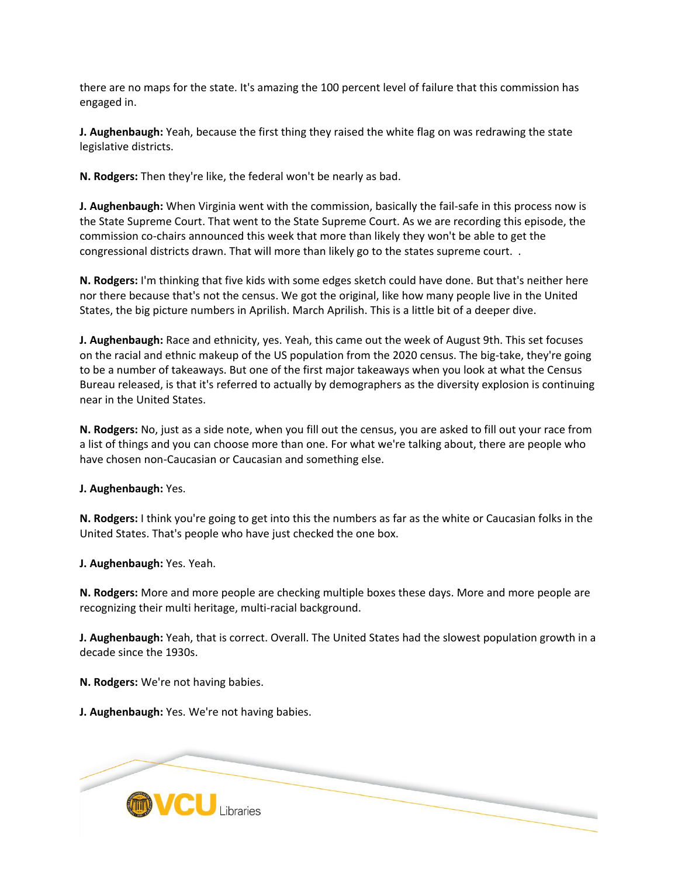there are no maps for the state. It's amazing the 100 percent level of failure that this commission has engaged in.

**J. Aughenbaugh:** Yeah, because the first thing they raised the white flag on was redrawing the state legislative districts.

**N. Rodgers:** Then they're like, the federal won't be nearly as bad.

**J. Aughenbaugh:** When Virginia went with the commission, basically the fail-safe in this process now is the State Supreme Court. That went to the State Supreme Court. As we are recording this episode, the commission co-chairs announced this week that more than likely they won't be able to get the congressional districts drawn. That will more than likely go to the states supreme court. .

**N. Rodgers:** I'm thinking that five kids with some edges sketch could have done. But that's neither here nor there because that's not the census. We got the original, like how many people live in the United States, the big picture numbers in Aprilish. March Aprilish. This is a little bit of a deeper dive.

**J. Aughenbaugh:** Race and ethnicity, yes. Yeah, this came out the week of August 9th. This set focuses on the racial and ethnic makeup of the US population from the 2020 census. The big-take, they're going to be a number of takeaways. But one of the first major takeaways when you look at what the Census Bureau released, is that it's referred to actually by demographers as the diversity explosion is continuing near in the United States.

**N. Rodgers:** No, just as a side note, when you fill out the census, you are asked to fill out your race from a list of things and you can choose more than one. For what we're talking about, there are people who have chosen non-Caucasian or Caucasian and something else.

**J. Aughenbaugh:** Yes.

**N. Rodgers:** I think you're going to get into this the numbers as far as the white or Caucasian folks in the United States. That's people who have just checked the one box.

**J. Aughenbaugh:** Yes. Yeah.

**N. Rodgers:** More and more people are checking multiple boxes these days. More and more people are recognizing their multi heritage, multi-racial background.

**J. Aughenbaugh:** Yeah, that is correct. Overall. The United States had the slowest population growth in a decade since the 1930s.

**N. Rodgers:** We're not having babies.

**J. Aughenbaugh:** Yes. We're not having babies.

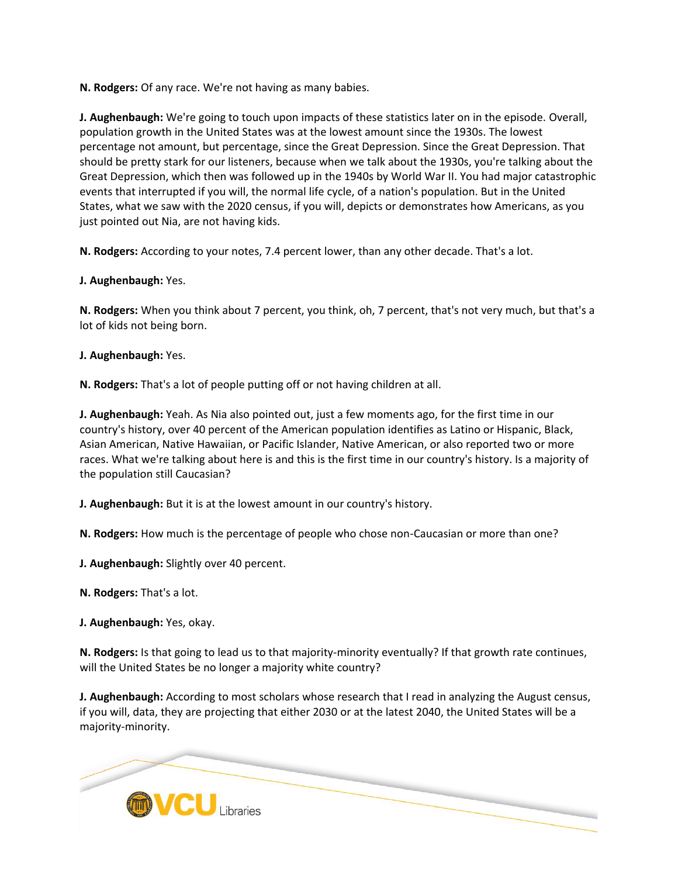**N. Rodgers:** Of any race. We're not having as many babies.

**J. Aughenbaugh:** We're going to touch upon impacts of these statistics later on in the episode. Overall, population growth in the United States was at the lowest amount since the 1930s. The lowest percentage not amount, but percentage, since the Great Depression. Since the Great Depression. That should be pretty stark for our listeners, because when we talk about the 1930s, you're talking about the Great Depression, which then was followed up in the 1940s by World War II. You had major catastrophic events that interrupted if you will, the normal life cycle, of a nation's population. But in the United States, what we saw with the 2020 census, if you will, depicts or demonstrates how Americans, as you just pointed out Nia, are not having kids.

**N. Rodgers:** According to your notes, 7.4 percent lower, than any other decade. That's a lot.

**J. Aughenbaugh:** Yes.

**N. Rodgers:** When you think about 7 percent, you think, oh, 7 percent, that's not very much, but that's a lot of kids not being born.

**J. Aughenbaugh:** Yes.

**N. Rodgers:** That's a lot of people putting off or not having children at all.

**J. Aughenbaugh:** Yeah. As Nia also pointed out, just a few moments ago, for the first time in our country's history, over 40 percent of the American population identifies as Latino or Hispanic, Black, Asian American, Native Hawaiian, or Pacific Islander, Native American, or also reported two or more races. What we're talking about here is and this is the first time in our country's history. Is a majority of the population still Caucasian?

**J. Aughenbaugh:** But it is at the lowest amount in our country's history.

**N. Rodgers:** How much is the percentage of people who chose non-Caucasian or more than one?

**J. Aughenbaugh:** Slightly over 40 percent.

**N. Rodgers:** That's a lot.

**J. Aughenbaugh:** Yes, okay.

**N. Rodgers:** Is that going to lead us to that majority-minority eventually? If that growth rate continues, will the United States be no longer a majority white country?

**J. Aughenbaugh:** According to most scholars whose research that I read in analyzing the August census, if you will, data, they are projecting that either 2030 or at the latest 2040, the United States will be a majority-minority.

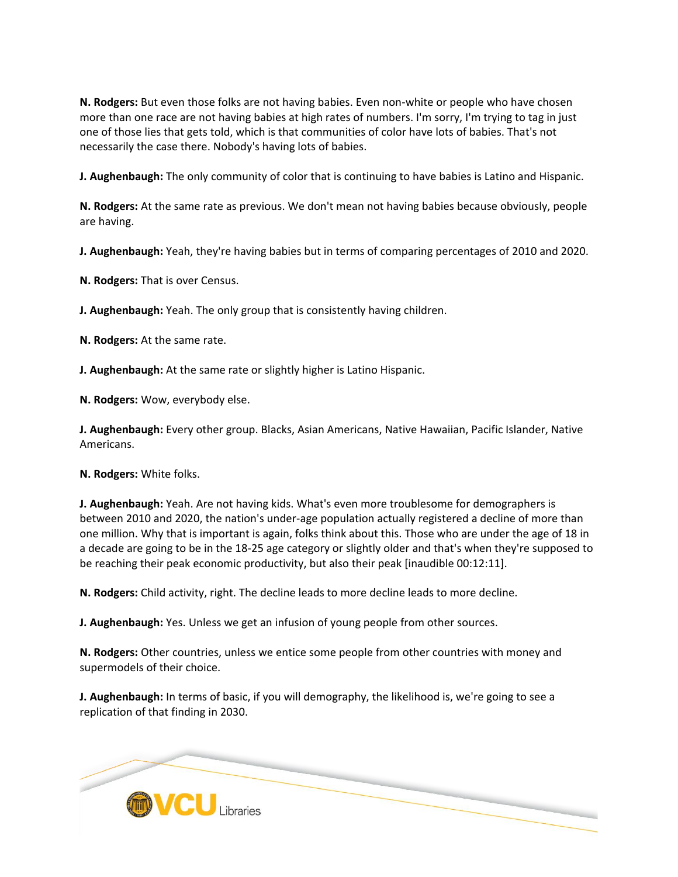**N. Rodgers:** But even those folks are not having babies. Even non-white or people who have chosen more than one race are not having babies at high rates of numbers. I'm sorry, I'm trying to tag in just one of those lies that gets told, which is that communities of color have lots of babies. That's not necessarily the case there. Nobody's having lots of babies.

**J. Aughenbaugh:** The only community of color that is continuing to have babies is Latino and Hispanic.

**N. Rodgers:** At the same rate as previous. We don't mean not having babies because obviously, people are having.

**J. Aughenbaugh:** Yeah, they're having babies but in terms of comparing percentages of 2010 and 2020.

**N. Rodgers:** That is over Census.

**J. Aughenbaugh:** Yeah. The only group that is consistently having children.

**N. Rodgers:** At the same rate.

**J. Aughenbaugh:** At the same rate or slightly higher is Latino Hispanic.

**N. Rodgers:** Wow, everybody else.

**J. Aughenbaugh:** Every other group. Blacks, Asian Americans, Native Hawaiian, Pacific Islander, Native Americans.

**N. Rodgers:** White folks.

**J. Aughenbaugh:** Yeah. Are not having kids. What's even more troublesome for demographers is between 2010 and 2020, the nation's under-age population actually registered a decline of more than one million. Why that is important is again, folks think about this. Those who are under the age of 18 in a decade are going to be in the 18-25 age category or slightly older and that's when they're supposed to be reaching their peak economic productivity, but also their peak [inaudible 00:12:11].

**N. Rodgers:** Child activity, right. The decline leads to more decline leads to more decline.

**J. Aughenbaugh:** Yes. Unless we get an infusion of young people from other sources.

**N. Rodgers:** Other countries, unless we entice some people from other countries with money and supermodels of their choice.

**J. Aughenbaugh:** In terms of basic, if you will demography, the likelihood is, we're going to see a replication of that finding in 2030.

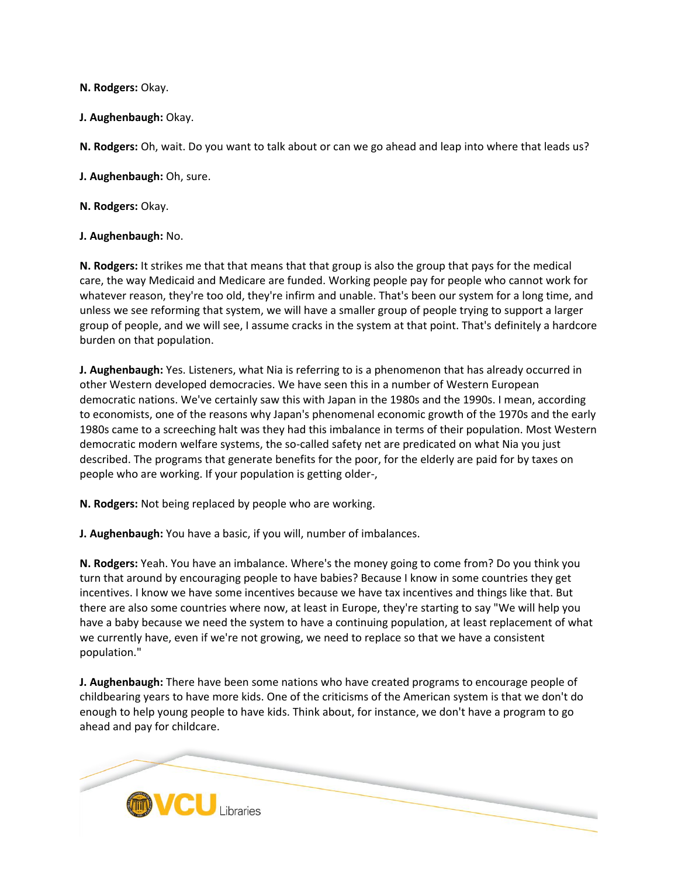**N. Rodgers:** Okay.

**J. Aughenbaugh:** Okay.

**N. Rodgers:** Oh, wait. Do you want to talk about or can we go ahead and leap into where that leads us?

**J. Aughenbaugh:** Oh, sure.

**N. Rodgers:** Okay.

#### **J. Aughenbaugh:** No.

**N. Rodgers:** It strikes me that that means that that group is also the group that pays for the medical care, the way Medicaid and Medicare are funded. Working people pay for people who cannot work for whatever reason, they're too old, they're infirm and unable. That's been our system for a long time, and unless we see reforming that system, we will have a smaller group of people trying to support a larger group of people, and we will see, I assume cracks in the system at that point. That's definitely a hardcore burden on that population.

**J. Aughenbaugh:** Yes. Listeners, what Nia is referring to is a phenomenon that has already occurred in other Western developed democracies. We have seen this in a number of Western European democratic nations. We've certainly saw this with Japan in the 1980s and the 1990s. I mean, according to economists, one of the reasons why Japan's phenomenal economic growth of the 1970s and the early 1980s came to a screeching halt was they had this imbalance in terms of their population. Most Western democratic modern welfare systems, the so-called safety net are predicated on what Nia you just described. The programs that generate benefits for the poor, for the elderly are paid for by taxes on people who are working. If your population is getting older-,

**N. Rodgers:** Not being replaced by people who are working.

**J. Aughenbaugh:** You have a basic, if you will, number of imbalances.

**N. Rodgers:** Yeah. You have an imbalance. Where's the money going to come from? Do you think you turn that around by encouraging people to have babies? Because I know in some countries they get incentives. I know we have some incentives because we have tax incentives and things like that. But there are also some countries where now, at least in Europe, they're starting to say "We will help you have a baby because we need the system to have a continuing population, at least replacement of what we currently have, even if we're not growing, we need to replace so that we have a consistent population."

**J. Aughenbaugh:** There have been some nations who have created programs to encourage people of childbearing years to have more kids. One of the criticisms of the American system is that we don't do enough to help young people to have kids. Think about, for instance, we don't have a program to go ahead and pay for childcare.

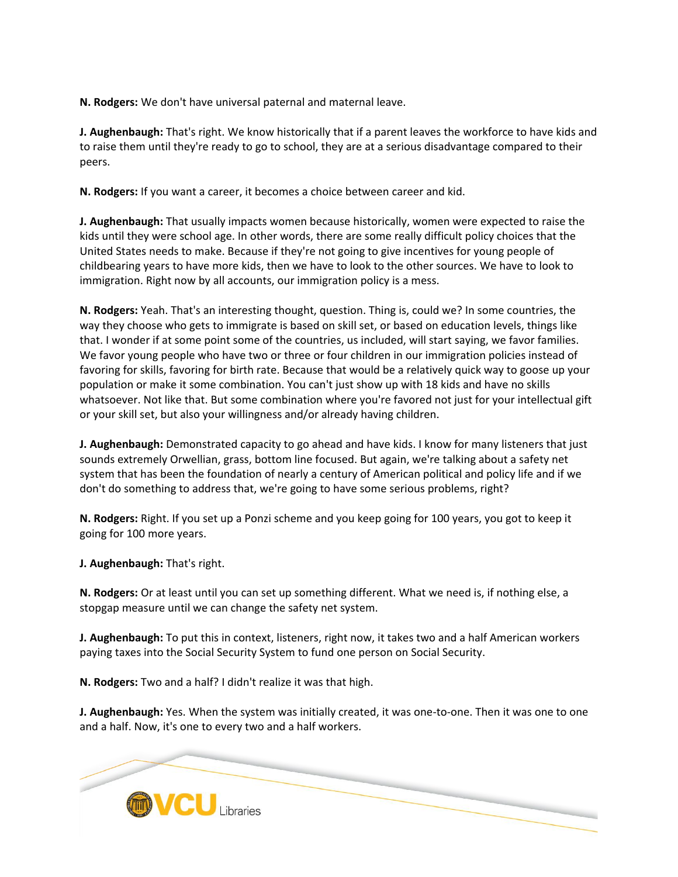**N. Rodgers:** We don't have universal paternal and maternal leave.

**J. Aughenbaugh:** That's right. We know historically that if a parent leaves the workforce to have kids and to raise them until they're ready to go to school, they are at a serious disadvantage compared to their peers.

**N. Rodgers:** If you want a career, it becomes a choice between career and kid.

**J. Aughenbaugh:** That usually impacts women because historically, women were expected to raise the kids until they were school age. In other words, there are some really difficult policy choices that the United States needs to make. Because if they're not going to give incentives for young people of childbearing years to have more kids, then we have to look to the other sources. We have to look to immigration. Right now by all accounts, our immigration policy is a mess.

**N. Rodgers:** Yeah. That's an interesting thought, question. Thing is, could we? In some countries, the way they choose who gets to immigrate is based on skill set, or based on education levels, things like that. I wonder if at some point some of the countries, us included, will start saying, we favor families. We favor young people who have two or three or four children in our immigration policies instead of favoring for skills, favoring for birth rate. Because that would be a relatively quick way to goose up your population or make it some combination. You can't just show up with 18 kids and have no skills whatsoever. Not like that. But some combination where you're favored not just for your intellectual gift or your skill set, but also your willingness and/or already having children.

**J. Aughenbaugh:** Demonstrated capacity to go ahead and have kids. I know for many listeners that just sounds extremely Orwellian, grass, bottom line focused. But again, we're talking about a safety net system that has been the foundation of nearly a century of American political and policy life and if we don't do something to address that, we're going to have some serious problems, right?

**N. Rodgers:** Right. If you set up a Ponzi scheme and you keep going for 100 years, you got to keep it going for 100 more years.

**J. Aughenbaugh:** That's right.

**N. Rodgers:** Or at least until you can set up something different. What we need is, if nothing else, a stopgap measure until we can change the safety net system.

**J. Aughenbaugh:** To put this in context, listeners, right now, it takes two and a half American workers paying taxes into the Social Security System to fund one person on Social Security.

**N. Rodgers:** Two and a half? I didn't realize it was that high.

**J. Aughenbaugh:** Yes. When the system was initially created, it was one-to-one. Then it was one to one and a half. Now, it's one to every two and a half workers.

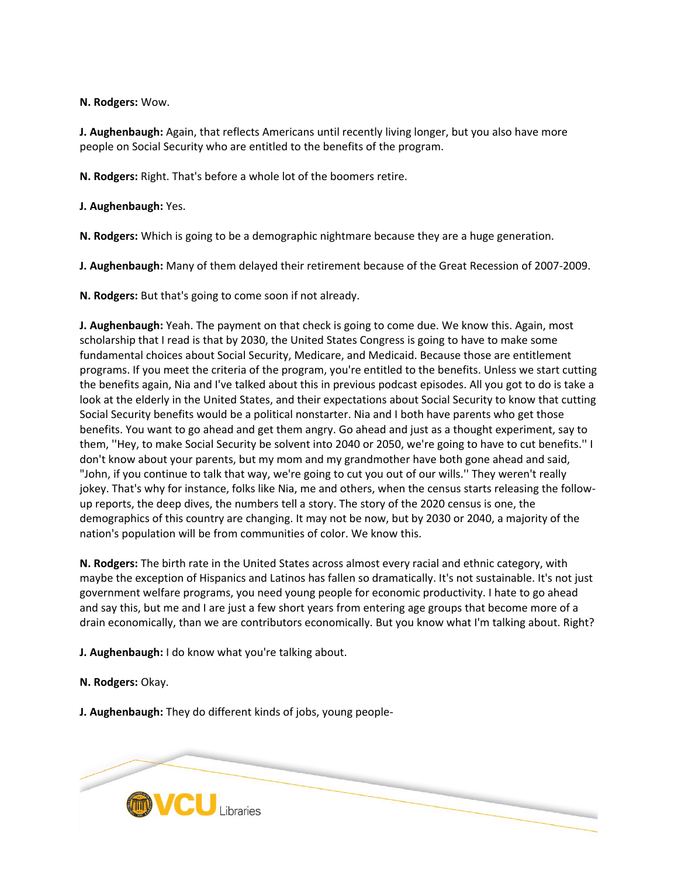**N. Rodgers:** Wow.

**J. Aughenbaugh:** Again, that reflects Americans until recently living longer, but you also have more people on Social Security who are entitled to the benefits of the program.

**N. Rodgers:** Right. That's before a whole lot of the boomers retire.

**J. Aughenbaugh:** Yes.

**N. Rodgers:** Which is going to be a demographic nightmare because they are a huge generation.

**J. Aughenbaugh:** Many of them delayed their retirement because of the Great Recession of 2007-2009.

**N. Rodgers:** But that's going to come soon if not already.

**J. Aughenbaugh:** Yeah. The payment on that check is going to come due. We know this. Again, most scholarship that I read is that by 2030, the United States Congress is going to have to make some fundamental choices about Social Security, Medicare, and Medicaid. Because those are entitlement programs. If you meet the criteria of the program, you're entitled to the benefits. Unless we start cutting the benefits again, Nia and I've talked about this in previous podcast episodes. All you got to do is take a look at the elderly in the United States, and their expectations about Social Security to know that cutting Social Security benefits would be a political nonstarter. Nia and I both have parents who get those benefits. You want to go ahead and get them angry. Go ahead and just as a thought experiment, say to them, ''Hey, to make Social Security be solvent into 2040 or 2050, we're going to have to cut benefits.'' I don't know about your parents, but my mom and my grandmother have both gone ahead and said, "John, if you continue to talk that way, we're going to cut you out of our wills.'' They weren't really jokey. That's why for instance, folks like Nia, me and others, when the census starts releasing the followup reports, the deep dives, the numbers tell a story. The story of the 2020 census is one, the demographics of this country are changing. It may not be now, but by 2030 or 2040, a majority of the nation's population will be from communities of color. We know this.

**N. Rodgers:** The birth rate in the United States across almost every racial and ethnic category, with maybe the exception of Hispanics and Latinos has fallen so dramatically. It's not sustainable. It's not just government welfare programs, you need young people for economic productivity. I hate to go ahead and say this, but me and I are just a few short years from entering age groups that become more of a drain economically, than we are contributors economically. But you know what I'm talking about. Right?

**J. Aughenbaugh:** I do know what you're talking about.

**N. Rodgers:** Okay.

**J. Aughenbaugh:** They do different kinds of jobs, young people-

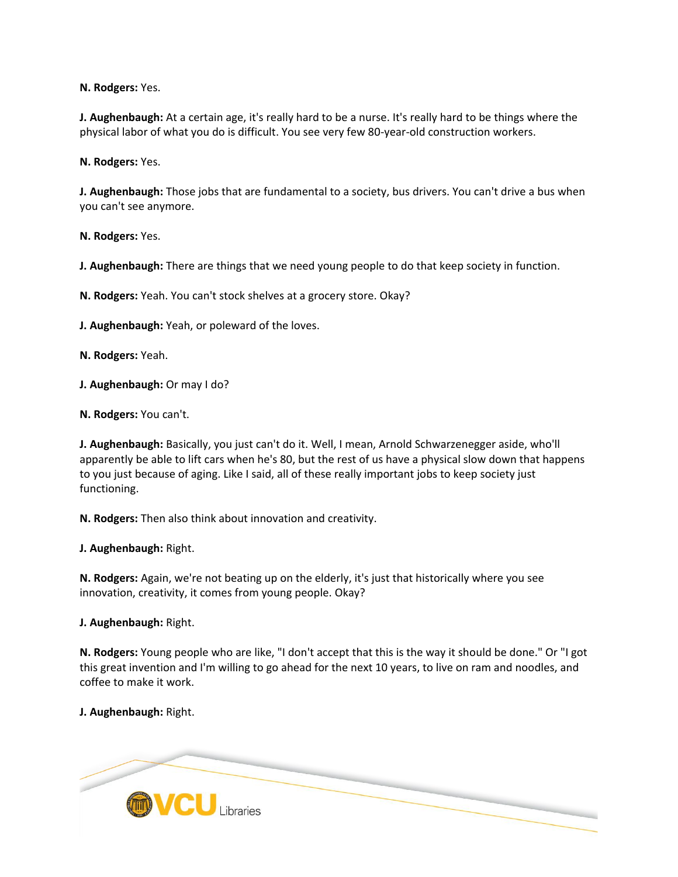**N. Rodgers:** Yes.

**J. Aughenbaugh:** At a certain age, it's really hard to be a nurse. It's really hard to be things where the physical labor of what you do is difficult. You see very few 80-year-old construction workers.

**N. Rodgers:** Yes.

**J. Aughenbaugh:** Those jobs that are fundamental to a society, bus drivers. You can't drive a bus when you can't see anymore.

**N. Rodgers:** Yes.

**J. Aughenbaugh:** There are things that we need young people to do that keep society in function.

**N. Rodgers:** Yeah. You can't stock shelves at a grocery store. Okay?

**J. Aughenbaugh:** Yeah, or poleward of the loves.

**N. Rodgers:** Yeah.

**J. Aughenbaugh:** Or may I do?

**N. Rodgers:** You can't.

**J. Aughenbaugh:** Basically, you just can't do it. Well, I mean, Arnold Schwarzenegger aside, who'll apparently be able to lift cars when he's 80, but the rest of us have a physical slow down that happens to you just because of aging. Like I said, all of these really important jobs to keep society just functioning.

**N. Rodgers:** Then also think about innovation and creativity.

**J. Aughenbaugh:** Right.

**N. Rodgers:** Again, we're not beating up on the elderly, it's just that historically where you see innovation, creativity, it comes from young people. Okay?

**J. Aughenbaugh:** Right.

**N. Rodgers:** Young people who are like, "I don't accept that this is the way it should be done." Or "I got this great invention and I'm willing to go ahead for the next 10 years, to live on ram and noodles, and coffee to make it work.

**J. Aughenbaugh:** Right.

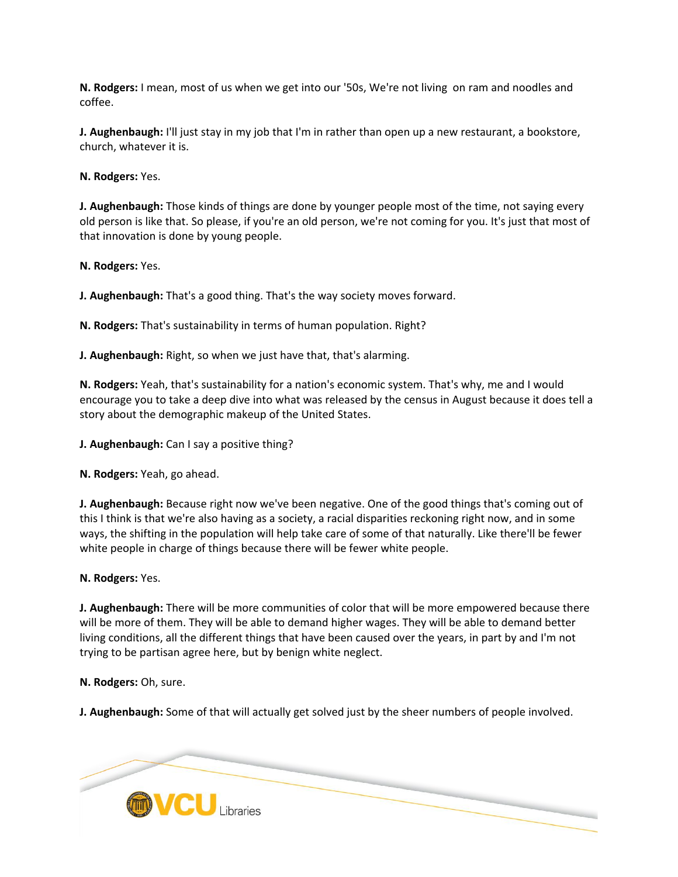**N. Rodgers:** I mean, most of us when we get into our '50s, We're not living on ram and noodles and coffee.

**J. Aughenbaugh:** I'll just stay in my job that I'm in rather than open up a new restaurant, a bookstore, church, whatever it is.

**N. Rodgers:** Yes.

**J. Aughenbaugh:** Those kinds of things are done by younger people most of the time, not saying every old person is like that. So please, if you're an old person, we're not coming for you. It's just that most of that innovation is done by young people.

**N. Rodgers:** Yes.

**J. Aughenbaugh:** That's a good thing. That's the way society moves forward.

**N. Rodgers:** That's sustainability in terms of human population. Right?

**J. Aughenbaugh:** Right, so when we just have that, that's alarming.

**N. Rodgers:** Yeah, that's sustainability for a nation's economic system. That's why, me and I would encourage you to take a deep dive into what was released by the census in August because it does tell a story about the demographic makeup of the United States.

**J. Aughenbaugh:** Can I say a positive thing?

**N. Rodgers:** Yeah, go ahead.

**J. Aughenbaugh:** Because right now we've been negative. One of the good things that's coming out of this I think is that we're also having as a society, a racial disparities reckoning right now, and in some ways, the shifting in the population will help take care of some of that naturally. Like there'll be fewer white people in charge of things because there will be fewer white people.

**N. Rodgers:** Yes.

**J. Aughenbaugh:** There will be more communities of color that will be more empowered because there will be more of them. They will be able to demand higher wages. They will be able to demand better living conditions, all the different things that have been caused over the years, in part by and I'm not trying to be partisan agree here, but by benign white neglect.

**N. Rodgers:** Oh, sure.

**J. Aughenbaugh:** Some of that will actually get solved just by the sheer numbers of people involved.

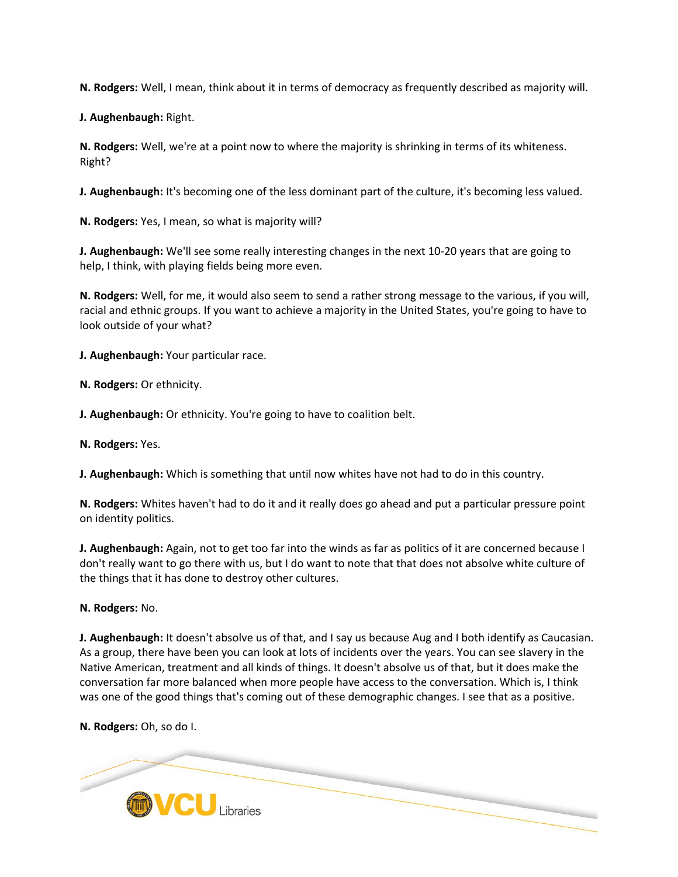**N. Rodgers:** Well, I mean, think about it in terms of democracy as frequently described as majority will.

**J. Aughenbaugh:** Right.

**N. Rodgers:** Well, we're at a point now to where the majority is shrinking in terms of its whiteness. Right?

**J. Aughenbaugh:** It's becoming one of the less dominant part of the culture, it's becoming less valued.

**N. Rodgers:** Yes, I mean, so what is majority will?

**J. Aughenbaugh:** We'll see some really interesting changes in the next 10-20 years that are going to help, I think, with playing fields being more even.

**N. Rodgers:** Well, for me, it would also seem to send a rather strong message to the various, if you will, racial and ethnic groups. If you want to achieve a majority in the United States, you're going to have to look outside of your what?

**J. Aughenbaugh:** Your particular race.

**N. Rodgers:** Or ethnicity.

**J. Aughenbaugh:** Or ethnicity. You're going to have to coalition belt.

**N. Rodgers:** Yes.

**J. Aughenbaugh:** Which is something that until now whites have not had to do in this country.

**N. Rodgers:** Whites haven't had to do it and it really does go ahead and put a particular pressure point on identity politics.

**J. Aughenbaugh:** Again, not to get too far into the winds as far as politics of it are concerned because I don't really want to go there with us, but I do want to note that that does not absolve white culture of the things that it has done to destroy other cultures.

**N. Rodgers:** No.

**J. Aughenbaugh:** It doesn't absolve us of that, and I say us because Aug and I both identify as Caucasian. As a group, there have been you can look at lots of incidents over the years. You can see slavery in the Native American, treatment and all kinds of things. It doesn't absolve us of that, but it does make the conversation far more balanced when more people have access to the conversation. Which is, I think was one of the good things that's coming out of these demographic changes. I see that as a positive.

**N. Rodgers:** Oh, so do I.

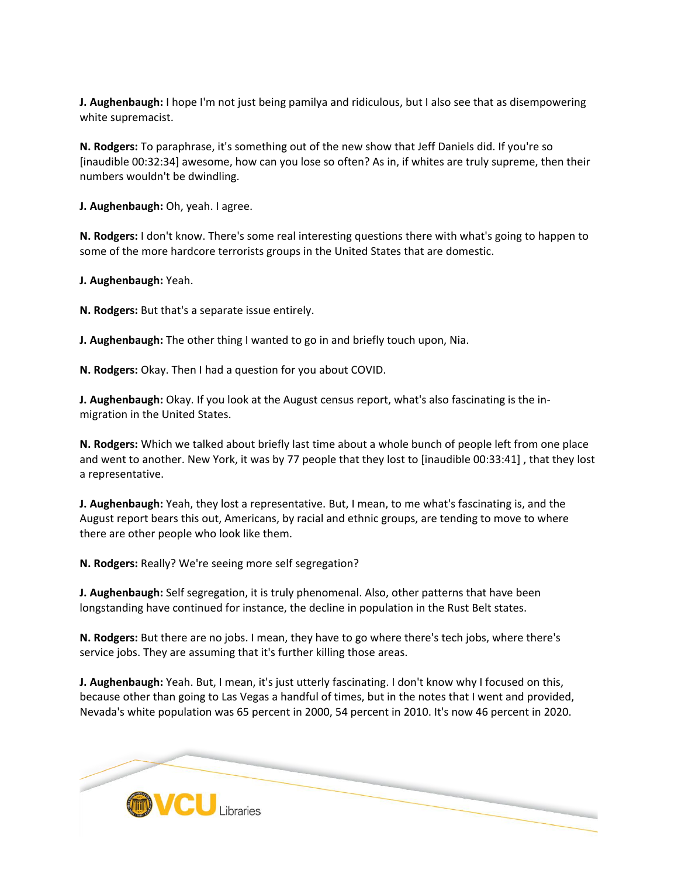**J. Aughenbaugh:** I hope I'm not just being pamilya and ridiculous, but I also see that as disempowering white supremacist.

**N. Rodgers:** To paraphrase, it's something out of the new show that Jeff Daniels did. If you're so [inaudible 00:32:34] awesome, how can you lose so often? As in, if whites are truly supreme, then their numbers wouldn't be dwindling.

**J. Aughenbaugh:** Oh, yeah. I agree.

**N. Rodgers:** I don't know. There's some real interesting questions there with what's going to happen to some of the more hardcore terrorists groups in the United States that are domestic.

**J. Aughenbaugh:** Yeah.

**N. Rodgers:** But that's a separate issue entirely.

**J. Aughenbaugh:** The other thing I wanted to go in and briefly touch upon, Nia.

**N. Rodgers:** Okay. Then I had a question for you about COVID.

**J. Aughenbaugh:** Okay. If you look at the August census report, what's also fascinating is the inmigration in the United States.

**N. Rodgers:** Which we talked about briefly last time about a whole bunch of people left from one place and went to another. New York, it was by 77 people that they lost to [inaudible 00:33:41] , that they lost a representative.

**J. Aughenbaugh:** Yeah, they lost a representative. But, I mean, to me what's fascinating is, and the August report bears this out, Americans, by racial and ethnic groups, are tending to move to where there are other people who look like them.

**N. Rodgers:** Really? We're seeing more self segregation?

**J. Aughenbaugh:** Self segregation, it is truly phenomenal. Also, other patterns that have been longstanding have continued for instance, the decline in population in the Rust Belt states.

**N. Rodgers:** But there are no jobs. I mean, they have to go where there's tech jobs, where there's service jobs. They are assuming that it's further killing those areas.

**J. Aughenbaugh:** Yeah. But, I mean, it's just utterly fascinating. I don't know why I focused on this, because other than going to Las Vegas a handful of times, but in the notes that I went and provided, Nevada's white population was 65 percent in 2000, 54 percent in 2010. It's now 46 percent in 2020.

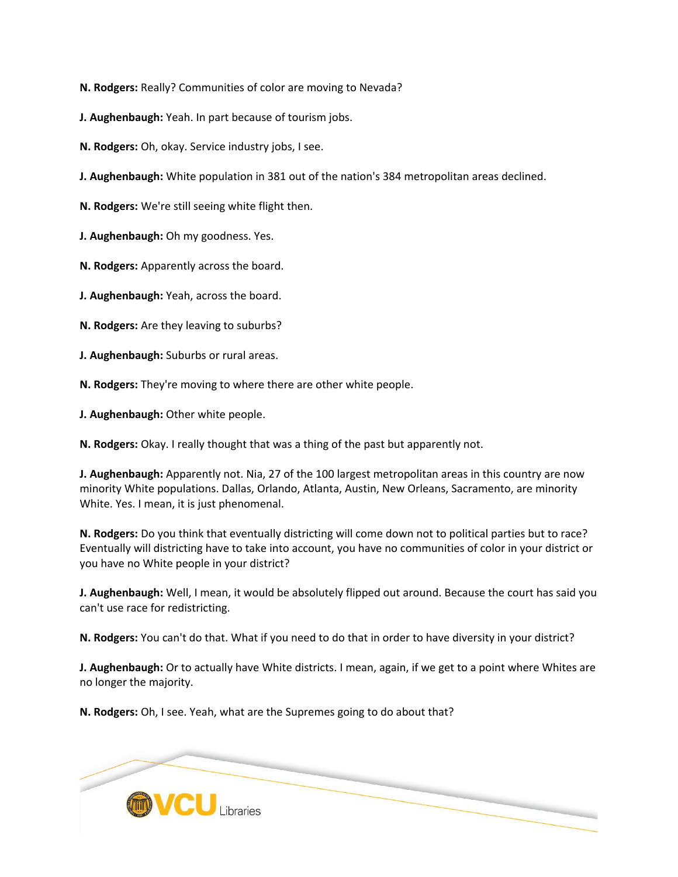**N. Rodgers:** Really? Communities of color are moving to Nevada?

**J. Aughenbaugh:** Yeah. In part because of tourism jobs.

**N. Rodgers:** Oh, okay. Service industry jobs, I see.

**J. Aughenbaugh:** White population in 381 out of the nation's 384 metropolitan areas declined.

**N. Rodgers:** We're still seeing white flight then.

**J. Aughenbaugh:** Oh my goodness. Yes.

**N. Rodgers:** Apparently across the board.

**J. Aughenbaugh:** Yeah, across the board.

**N. Rodgers:** Are they leaving to suburbs?

**J. Aughenbaugh:** Suburbs or rural areas.

**N. Rodgers:** They're moving to where there are other white people.

**J. Aughenbaugh:** Other white people.

**N. Rodgers:** Okay. I really thought that was a thing of the past but apparently not.

**J. Aughenbaugh:** Apparently not. Nia, 27 of the 100 largest metropolitan areas in this country are now minority White populations. Dallas, Orlando, Atlanta, Austin, New Orleans, Sacramento, are minority White. Yes. I mean, it is just phenomenal.

**N. Rodgers:** Do you think that eventually districting will come down not to political parties but to race? Eventually will districting have to take into account, you have no communities of color in your district or you have no White people in your district?

**J. Aughenbaugh:** Well, I mean, it would be absolutely flipped out around. Because the court has said you can't use race for redistricting.

**N. Rodgers:** You can't do that. What if you need to do that in order to have diversity in your district?

**J. Aughenbaugh:** Or to actually have White districts. I mean, again, if we get to a point where Whites are no longer the majority.

**N. Rodgers:** Oh, I see. Yeah, what are the Supremes going to do about that?

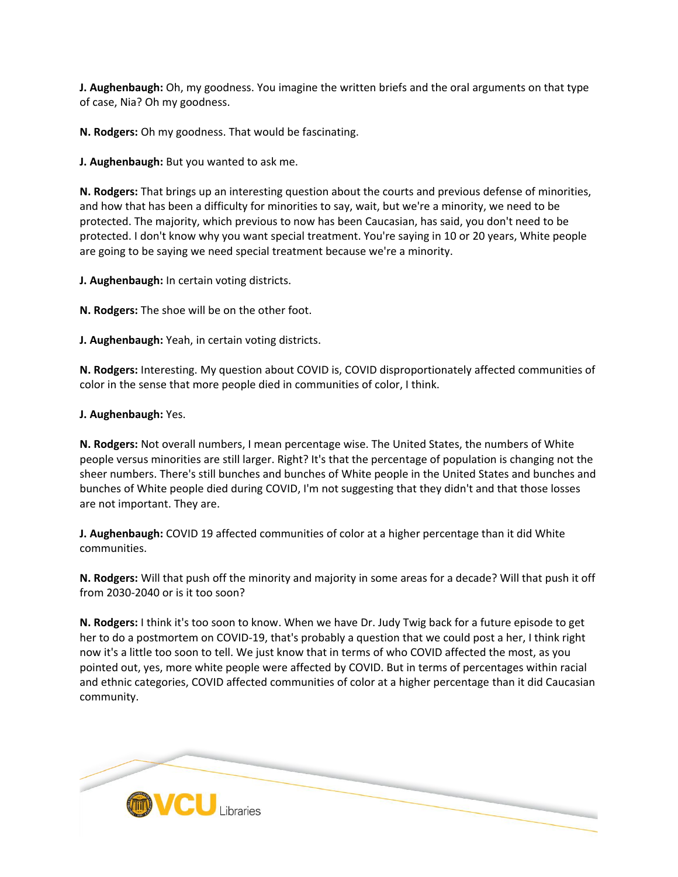**J. Aughenbaugh:** Oh, my goodness. You imagine the written briefs and the oral arguments on that type of case, Nia? Oh my goodness.

**N. Rodgers:** Oh my goodness. That would be fascinating.

**J. Aughenbaugh:** But you wanted to ask me.

**N. Rodgers:** That brings up an interesting question about the courts and previous defense of minorities, and how that has been a difficulty for minorities to say, wait, but we're a minority, we need to be protected. The majority, which previous to now has been Caucasian, has said, you don't need to be protected. I don't know why you want special treatment. You're saying in 10 or 20 years, White people are going to be saying we need special treatment because we're a minority.

**J. Aughenbaugh:** In certain voting districts.

**N. Rodgers:** The shoe will be on the other foot.

**J. Aughenbaugh:** Yeah, in certain voting districts.

**N. Rodgers:** Interesting. My question about COVID is, COVID disproportionately affected communities of color in the sense that more people died in communities of color, I think.

# **J. Aughenbaugh:** Yes.

**N. Rodgers:** Not overall numbers, I mean percentage wise. The United States, the numbers of White people versus minorities are still larger. Right? It's that the percentage of population is changing not the sheer numbers. There's still bunches and bunches of White people in the United States and bunches and bunches of White people died during COVID, I'm not suggesting that they didn't and that those losses are not important. They are.

**J. Aughenbaugh:** COVID 19 affected communities of color at a higher percentage than it did White communities.

**N. Rodgers:** Will that push off the minority and majority in some areas for a decade? Will that push it off from 2030-2040 or is it too soon?

**N. Rodgers:** I think it's too soon to know. When we have Dr. Judy Twig back for a future episode to get her to do a postmortem on COVID-19, that's probably a question that we could post a her, I think right now it's a little too soon to tell. We just know that in terms of who COVID affected the most, as you pointed out, yes, more white people were affected by COVID. But in terms of percentages within racial and ethnic categories, COVID affected communities of color at a higher percentage than it did Caucasian community.

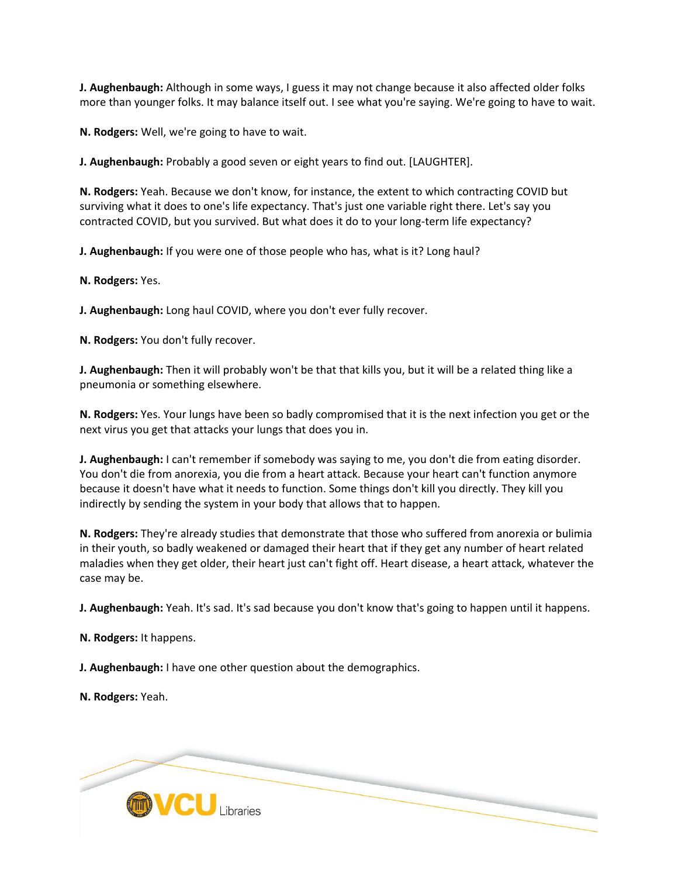**J. Aughenbaugh:** Although in some ways, I guess it may not change because it also affected older folks more than younger folks. It may balance itself out. I see what you're saying. We're going to have to wait.

**N. Rodgers:** Well, we're going to have to wait.

**J. Aughenbaugh:** Probably a good seven or eight years to find out. [LAUGHTER].

**N. Rodgers:** Yeah. Because we don't know, for instance, the extent to which contracting COVID but surviving what it does to one's life expectancy. That's just one variable right there. Let's say you contracted COVID, but you survived. But what does it do to your long-term life expectancy?

**J. Aughenbaugh:** If you were one of those people who has, what is it? Long haul?

**N. Rodgers:** Yes.

**J. Aughenbaugh:** Long haul COVID, where you don't ever fully recover.

**N. Rodgers:** You don't fully recover.

**J. Aughenbaugh:** Then it will probably won't be that that kills you, but it will be a related thing like a pneumonia or something elsewhere.

**N. Rodgers:** Yes. Your lungs have been so badly compromised that it is the next infection you get or the next virus you get that attacks your lungs that does you in.

**J. Aughenbaugh:** I can't remember if somebody was saying to me, you don't die from eating disorder. You don't die from anorexia, you die from a heart attack. Because your heart can't function anymore because it doesn't have what it needs to function. Some things don't kill you directly. They kill you indirectly by sending the system in your body that allows that to happen.

**N. Rodgers:** They're already studies that demonstrate that those who suffered from anorexia or bulimia in their youth, so badly weakened or damaged their heart that if they get any number of heart related maladies when they get older, their heart just can't fight off. Heart disease, a heart attack, whatever the case may be.

**J. Aughenbaugh:** Yeah. It's sad. It's sad because you don't know that's going to happen until it happens.

**N. Rodgers:** It happens.

**J. Aughenbaugh:** I have one other question about the demographics.

**N. Rodgers:** Yeah.

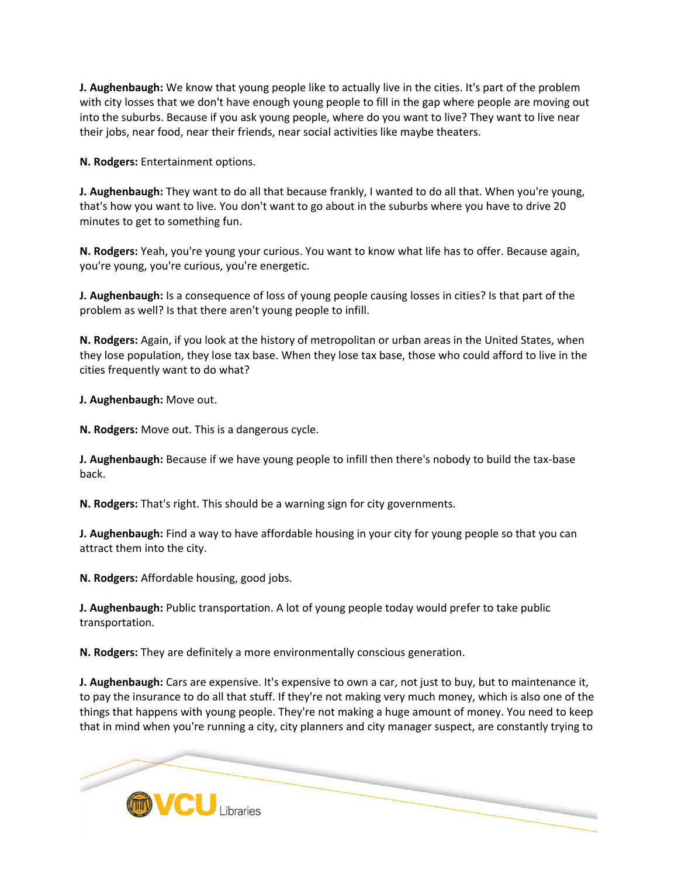**J. Aughenbaugh:** We know that young people like to actually live in the cities. It's part of the problem with city losses that we don't have enough young people to fill in the gap where people are moving out into the suburbs. Because if you ask young people, where do you want to live? They want to live near their jobs, near food, near their friends, near social activities like maybe theaters.

**N. Rodgers:** Entertainment options.

**J. Aughenbaugh:** They want to do all that because frankly, I wanted to do all that. When you're young, that's how you want to live. You don't want to go about in the suburbs where you have to drive 20 minutes to get to something fun.

**N. Rodgers:** Yeah, you're young your curious. You want to know what life has to offer. Because again, you're young, you're curious, you're energetic.

**J. Aughenbaugh:** Is a consequence of loss of young people causing losses in cities? Is that part of the problem as well? Is that there aren't young people to infill.

**N. Rodgers:** Again, if you look at the history of metropolitan or urban areas in the United States, when they lose population, they lose tax base. When they lose tax base, those who could afford to live in the cities frequently want to do what?

**J. Aughenbaugh:** Move out.

**N. Rodgers:** Move out. This is a dangerous cycle.

**J. Aughenbaugh:** Because if we have young people to infill then there's nobody to build the tax-base back.

**N. Rodgers:** That's right. This should be a warning sign for city governments.

**J. Aughenbaugh:** Find a way to have affordable housing in your city for young people so that you can attract them into the city.

**N. Rodgers:** Affordable housing, good jobs.

**J. Aughenbaugh:** Public transportation. A lot of young people today would prefer to take public transportation.

**N. Rodgers:** They are definitely a more environmentally conscious generation.

**J. Aughenbaugh:** Cars are expensive. It's expensive to own a car, not just to buy, but to maintenance it, to pay the insurance to do all that stuff. If they're not making very much money, which is also one of the things that happens with young people. They're not making a huge amount of money. You need to keep that in mind when you're running a city, city planners and city manager suspect, are constantly trying to

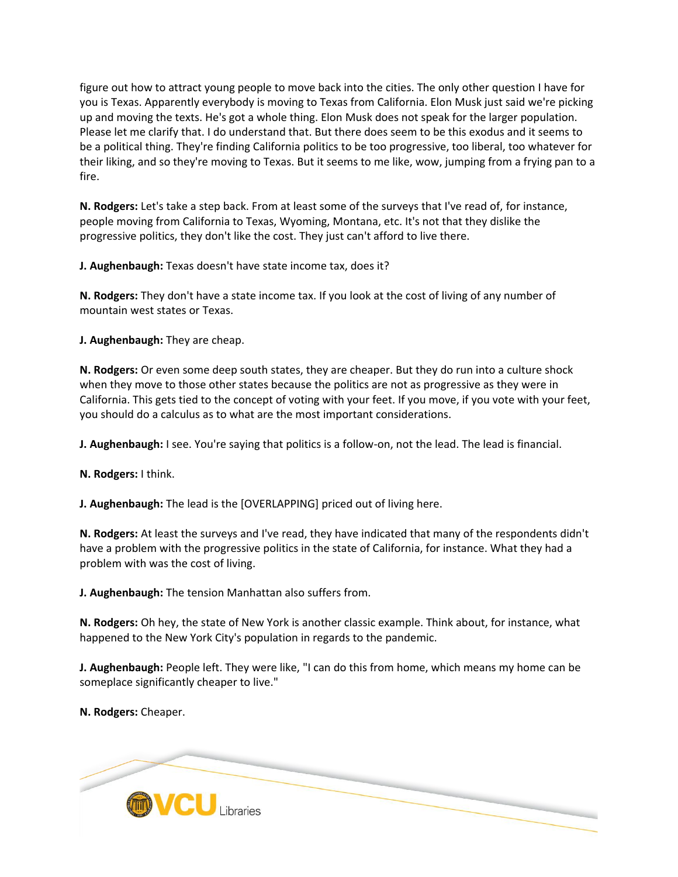figure out how to attract young people to move back into the cities. The only other question I have for you is Texas. Apparently everybody is moving to Texas from California. Elon Musk just said we're picking up and moving the texts. He's got a whole thing. Elon Musk does not speak for the larger population. Please let me clarify that. I do understand that. But there does seem to be this exodus and it seems to be a political thing. They're finding California politics to be too progressive, too liberal, too whatever for their liking, and so they're moving to Texas. But it seems to me like, wow, jumping from a frying pan to a fire.

**N. Rodgers:** Let's take a step back. From at least some of the surveys that I've read of, for instance, people moving from California to Texas, Wyoming, Montana, etc. It's not that they dislike the progressive politics, they don't like the cost. They just can't afford to live there.

**J. Aughenbaugh:** Texas doesn't have state income tax, does it?

**N. Rodgers:** They don't have a state income tax. If you look at the cost of living of any number of mountain west states or Texas.

**J. Aughenbaugh:** They are cheap.

**N. Rodgers:** Or even some deep south states, they are cheaper. But they do run into a culture shock when they move to those other states because the politics are not as progressive as they were in California. This gets tied to the concept of voting with your feet. If you move, if you vote with your feet, you should do a calculus as to what are the most important considerations.

**J. Aughenbaugh:** I see. You're saying that politics is a follow-on, not the lead. The lead is financial.

**N. Rodgers:** I think.

**J. Aughenbaugh:** The lead is the [OVERLAPPING] priced out of living here.

**N. Rodgers:** At least the surveys and I've read, they have indicated that many of the respondents didn't have a problem with the progressive politics in the state of California, for instance. What they had a problem with was the cost of living.

**J. Aughenbaugh:** The tension Manhattan also suffers from.

**N. Rodgers:** Oh hey, the state of New York is another classic example. Think about, for instance, what happened to the New York City's population in regards to the pandemic.

**J. Aughenbaugh:** People left. They were like, "I can do this from home, which means my home can be someplace significantly cheaper to live."

**N. Rodgers:** Cheaper.

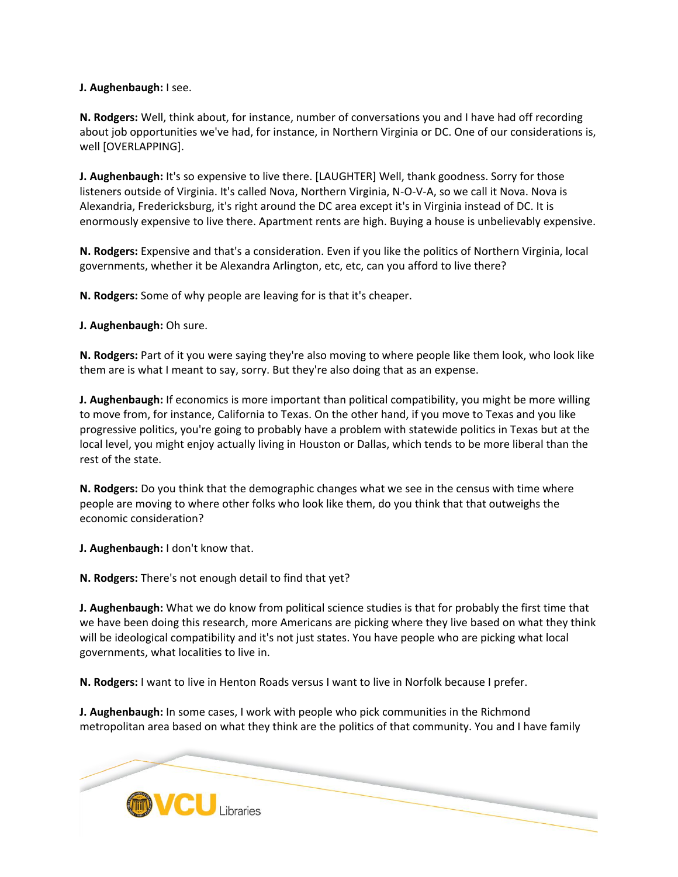## **J. Aughenbaugh:** I see.

**N. Rodgers:** Well, think about, for instance, number of conversations you and I have had off recording about job opportunities we've had, for instance, in Northern Virginia or DC. One of our considerations is, well [OVERLAPPING].

**J. Aughenbaugh:** It's so expensive to live there. [LAUGHTER] Well, thank goodness. Sorry for those listeners outside of Virginia. It's called Nova, Northern Virginia, N-O-V-A, so we call it Nova. Nova is Alexandria, Fredericksburg, it's right around the DC area except it's in Virginia instead of DC. It is enormously expensive to live there. Apartment rents are high. Buying a house is unbelievably expensive.

**N. Rodgers:** Expensive and that's a consideration. Even if you like the politics of Northern Virginia, local governments, whether it be Alexandra Arlington, etc, etc, can you afford to live there?

**N. Rodgers:** Some of why people are leaving for is that it's cheaper.

**J. Aughenbaugh:** Oh sure.

**N. Rodgers:** Part of it you were saying they're also moving to where people like them look, who look like them are is what I meant to say, sorry. But they're also doing that as an expense.

**J. Aughenbaugh:** If economics is more important than political compatibility, you might be more willing to move from, for instance, California to Texas. On the other hand, if you move to Texas and you like progressive politics, you're going to probably have a problem with statewide politics in Texas but at the local level, you might enjoy actually living in Houston or Dallas, which tends to be more liberal than the rest of the state.

**N. Rodgers:** Do you think that the demographic changes what we see in the census with time where people are moving to where other folks who look like them, do you think that that outweighs the economic consideration?

**J. Aughenbaugh:** I don't know that.

**N. Rodgers:** There's not enough detail to find that yet?

**J. Aughenbaugh:** What we do know from political science studies is that for probably the first time that we have been doing this research, more Americans are picking where they live based on what they think will be ideological compatibility and it's not just states. You have people who are picking what local governments, what localities to live in.

**N. Rodgers:** I want to live in Henton Roads versus I want to live in Norfolk because I prefer.

**J. Aughenbaugh:** In some cases, I work with people who pick communities in the Richmond metropolitan area based on what they think are the politics of that community. You and I have family

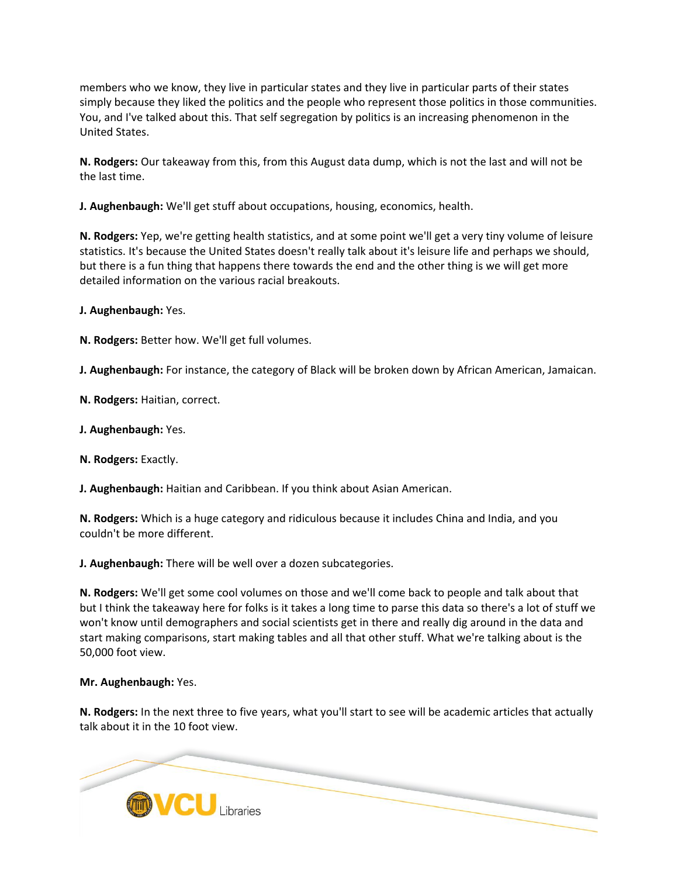members who we know, they live in particular states and they live in particular parts of their states simply because they liked the politics and the people who represent those politics in those communities. You, and I've talked about this. That self segregation by politics is an increasing phenomenon in the United States.

**N. Rodgers:** Our takeaway from this, from this August data dump, which is not the last and will not be the last time.

**J. Aughenbaugh:** We'll get stuff about occupations, housing, economics, health.

**N. Rodgers:** Yep, we're getting health statistics, and at some point we'll get a very tiny volume of leisure statistics. It's because the United States doesn't really talk about it's leisure life and perhaps we should, but there is a fun thing that happens there towards the end and the other thing is we will get more detailed information on the various racial breakouts.

**J. Aughenbaugh:** Yes.

**N. Rodgers:** Better how. We'll get full volumes.

**J. Aughenbaugh:** For instance, the category of Black will be broken down by African American, Jamaican.

**N. Rodgers:** Haitian, correct.

**J. Aughenbaugh:** Yes.

**N. Rodgers:** Exactly.

**J. Aughenbaugh:** Haitian and Caribbean. If you think about Asian American.

**N. Rodgers:** Which is a huge category and ridiculous because it includes China and India, and you couldn't be more different.

**J. Aughenbaugh:** There will be well over a dozen subcategories.

**N. Rodgers:** We'll get some cool volumes on those and we'll come back to people and talk about that but I think the takeaway here for folks is it takes a long time to parse this data so there's a lot of stuff we won't know until demographers and social scientists get in there and really dig around in the data and start making comparisons, start making tables and all that other stuff. What we're talking about is the 50,000 foot view.

### **Mr. Aughenbaugh:** Yes.

**N. Rodgers:** In the next three to five years, what you'll start to see will be academic articles that actually talk about it in the 10 foot view.

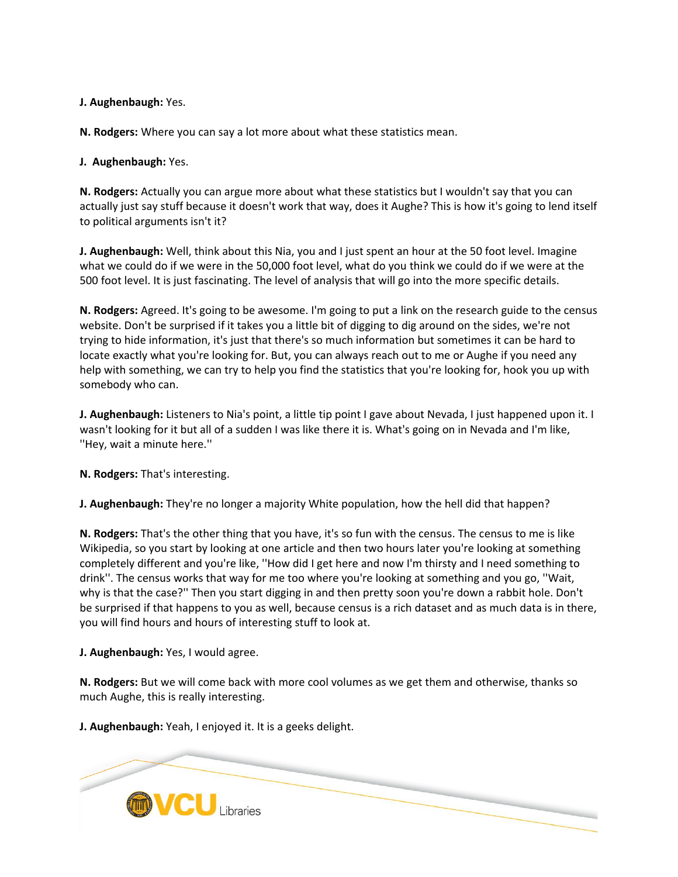**J. Aughenbaugh:** Yes.

**N. Rodgers:** Where you can say a lot more about what these statistics mean.

## **J. Aughenbaugh:** Yes.

**N. Rodgers:** Actually you can argue more about what these statistics but I wouldn't say that you can actually just say stuff because it doesn't work that way, does it Aughe? This is how it's going to lend itself to political arguments isn't it?

**J. Aughenbaugh:** Well, think about this Nia, you and I just spent an hour at the 50 foot level. Imagine what we could do if we were in the 50,000 foot level, what do you think we could do if we were at the 500 foot level. It is just fascinating. The level of analysis that will go into the more specific details.

**N. Rodgers:** Agreed. It's going to be awesome. I'm going to put a link on the research guide to the census website. Don't be surprised if it takes you a little bit of digging to dig around on the sides, we're not trying to hide information, it's just that there's so much information but sometimes it can be hard to locate exactly what you're looking for. But, you can always reach out to me or Aughe if you need any help with something, we can try to help you find the statistics that you're looking for, hook you up with somebody who can.

**J. Aughenbaugh:** Listeners to Nia's point, a little tip point I gave about Nevada, I just happened upon it. I wasn't looking for it but all of a sudden I was like there it is. What's going on in Nevada and I'm like, ''Hey, wait a minute here.''

**N. Rodgers:** That's interesting.

**J. Aughenbaugh:** They're no longer a majority White population, how the hell did that happen?

**N. Rodgers:** That's the other thing that you have, it's so fun with the census. The census to me is like Wikipedia, so you start by looking at one article and then two hours later you're looking at something completely different and you're like, ''How did I get here and now I'm thirsty and I need something to drink''. The census works that way for me too where you're looking at something and you go, ''Wait, why is that the case?'' Then you start digging in and then pretty soon you're down a rabbit hole. Don't be surprised if that happens to you as well, because census is a rich dataset and as much data is in there, you will find hours and hours of interesting stuff to look at.

**J. Aughenbaugh:** Yes, I would agree.

**N. Rodgers:** But we will come back with more cool volumes as we get them and otherwise, thanks so much Aughe, this is really interesting.

**J. Aughenbaugh:** Yeah, I enjoyed it. It is a geeks delight.

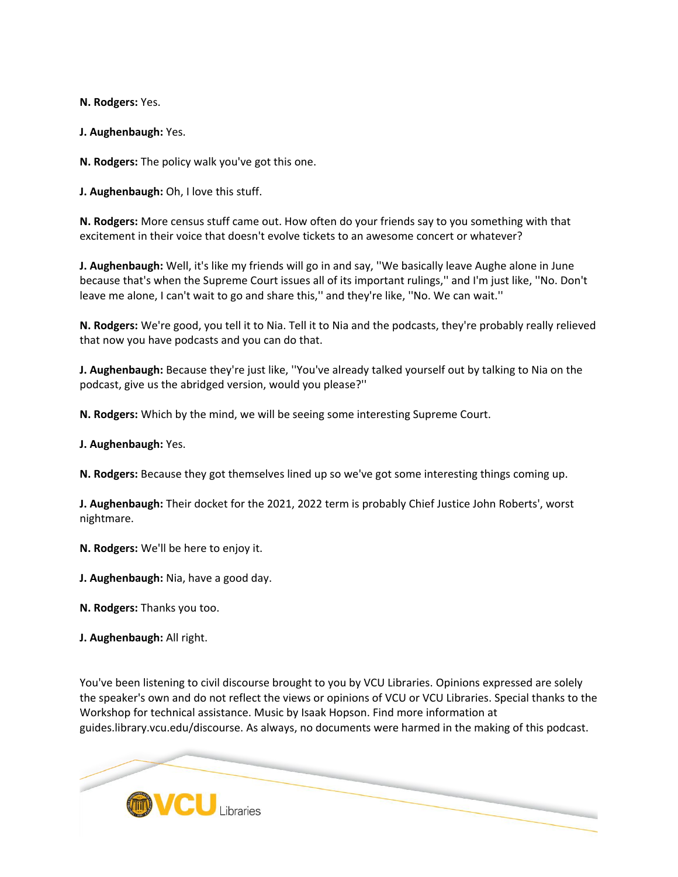**N. Rodgers:** Yes.

**J. Aughenbaugh:** Yes.

**N. Rodgers:** The policy walk you've got this one.

**J. Aughenbaugh:** Oh, I love this stuff.

**N. Rodgers:** More census stuff came out. How often do your friends say to you something with that excitement in their voice that doesn't evolve tickets to an awesome concert or whatever?

**J. Aughenbaugh:** Well, it's like my friends will go in and say, ''We basically leave Aughe alone in June because that's when the Supreme Court issues all of its important rulings,'' and I'm just like, ''No. Don't leave me alone, I can't wait to go and share this,'' and they're like, ''No. We can wait.''

**N. Rodgers:** We're good, you tell it to Nia. Tell it to Nia and the podcasts, they're probably really relieved that now you have podcasts and you can do that.

**J. Aughenbaugh:** Because they're just like, ''You've already talked yourself out by talking to Nia on the podcast, give us the abridged version, would you please?''

**N. Rodgers:** Which by the mind, we will be seeing some interesting Supreme Court.

**J. Aughenbaugh:** Yes.

**N. Rodgers:** Because they got themselves lined up so we've got some interesting things coming up.

**J. Aughenbaugh:** Their docket for the 2021, 2022 term is probably Chief Justice John Roberts', worst nightmare.

**N. Rodgers:** We'll be here to enjoy it.

**J. Aughenbaugh:** Nia, have a good day.

**N. Rodgers:** Thanks you too.

**J. Aughenbaugh:** All right.

You've been listening to civil discourse brought to you by VCU Libraries. Opinions expressed are solely the speaker's own and do not reflect the views or opinions of VCU or VCU Libraries. Special thanks to the Workshop for technical assistance. Music by Isaak Hopson. Find more information at guides.library.vcu.edu/discourse. As always, no documents were harmed in the making of this podcast.